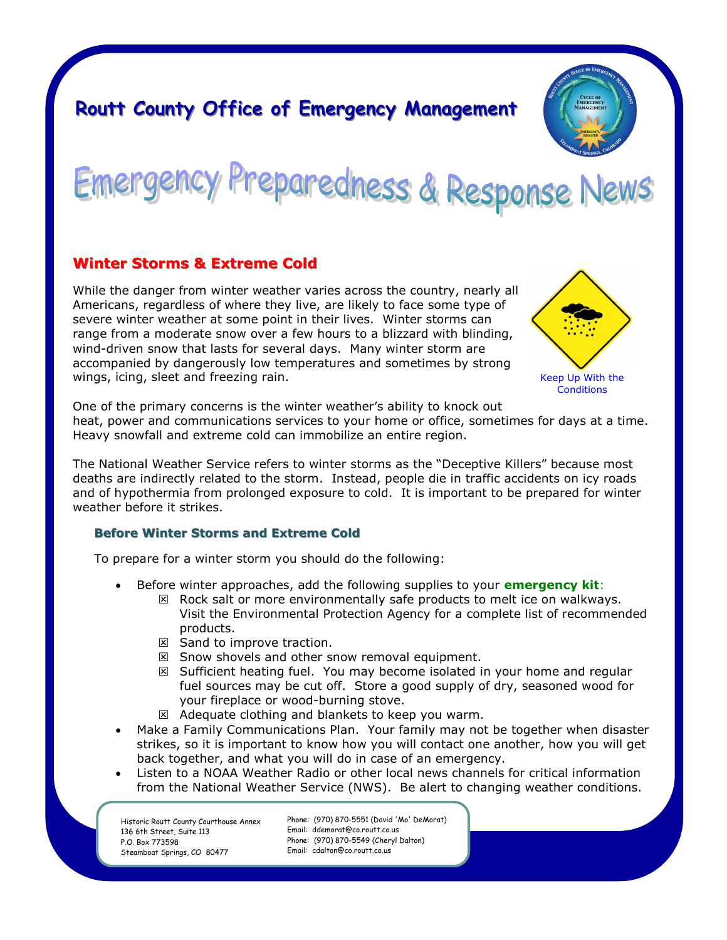# **Routt County Office of Emergency Management**



Emergency Preparedness & Response News

# **Winter Storms & Extreme Cold**

While the danger from winter weather varies across the country, nearly all Americans, regardless of where they live, are likely to face some type of severe winter weather at some point in their lives. Winter storms can range from a moderate snow over a few hours to a blizzard with blinding, wind-driven snow that lasts for several days. Many winter storm are accompanied by dangerously low temperatures and sometimes by strong wings, icing, sleet and freezing rain.



One of the primary concerns is the winter weather's ability to knock out

heat, power and communications services to your home or office, sometimes for days at a time. Heavy snowfall and extreme cold can immobilize an entire region.

The National Weather Service refers to winter storms as the "Deceptive Killers" because most deaths are indirectly related to the storm. Instead, people die in traffic accidents on icy roads and of hypothermia from prolonged exposure to cold. It is important to be prepared for winter weather before it strikes.

## **Before Winter Storms and Extreme Cold**

To prepare for a winter storm you should do the following:

- Before winter approaches, add the following supplies to your **emergency kit**:
	- $\boxtimes$  Rock salt or more environmentally safe products to melt ice on walkways. Visit the Environmental Protection Agency for a complete list of recommended products.
		- $\boxtimes$  Sand to improve traction.
		- $\boxtimes$  Snow shovels and other snow removal equipment.
		- $\boxtimes$  Sufficient heating fuel. You may become isolated in your home and regular fuel sources may be cut off. Store a good supply of dry, seasoned wood for your fireplace or wood-burning stove.
	- $\boxtimes$  Adequate clothing and blankets to keep you warm.
- Make a Family Communications Plan. Your family may not be together when disaster strikes, so it is important to know how you will contact one another, how you will get back together, and what you will do in case of an emergency.
- Listen to a NOAA Weather Radio or other local news channels for critical information from the National Weather Service (NWS). Be alert to changing weather conditions.

Historic Routt County Courthouse Annex 136 6th Street, Suite 113 P.O. Box 773598 Steamboat Springs, CO 80477

Phone: (970) 870-5551 (David 'Mo' DeMorat) Email: ddemorat@co.routt.co.us Phone: (970) 870-5549 (Cheryl Dalton) Email: cdalton@co.routt.co.us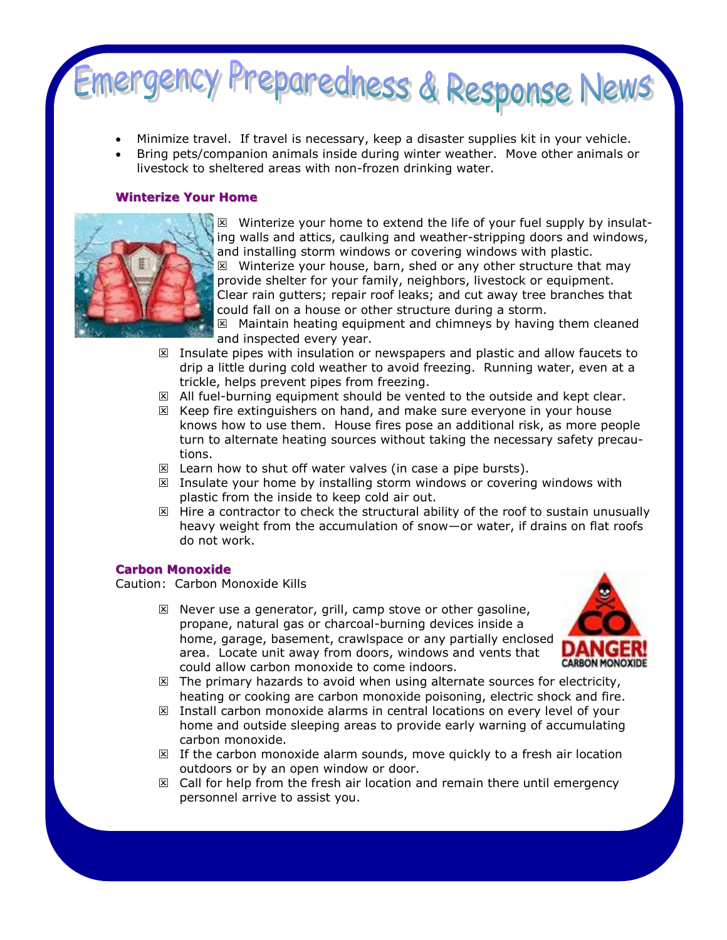

- Minimize travel. If travel is necessary, keep a disaster supplies kit in your vehicle.
- Bring pets/companion animals inside during winter weather. Move other animals or livestock to sheltered areas with non-frozen drinking water.

### **Winterize Your Home**



 $\boxtimes$  Winterize your home to extend the life of your fuel supply by insulating walls and attics, caulking and weather-stripping doors and windows, and installing storm windows or covering windows with plastic.  $\boxtimes$  Winterize your house, barn, shed or any other structure that may provide shelter for your family, neighbors, livestock or equipment. Clear rain gutters; repair roof leaks; and cut away tree branches that could fall on a house or other structure during a storm.

 $\boxtimes$  Maintain heating equipment and chimneys by having them cleaned and inspected every year.

- $\boxtimes$  Insulate pipes with insulation or newspapers and plastic and allow faucets to drip a little during cold weather to avoid freezing. Running water, even at a trickle, helps prevent pipes from freezing.
- $\boxtimes$  All fuel-burning equipment should be vented to the outside and kept clear.
- $\boxtimes$  Keep fire extinguishers on hand, and make sure everyone in your house knows how to use them. House fires pose an additional risk, as more people turn to alternate heating sources without taking the necessary safety precautions.
- $\boxtimes$  Learn how to shut off water valves (in case a pipe bursts).
- $\boxtimes$  Insulate your home by installing storm windows or covering windows with plastic from the inside to keep cold air out.
- $\boxtimes$  Hire a contractor to check the structural ability of the roof to sustain unusually heavy weight from the accumulation of snow—or water, if drains on flat roofs do not work.

#### **Carbon Monoxide**

Caution: Carbon Monoxide Kills

 $\boxtimes$  Never use a generator, grill, camp stove or other gasoline, propane, natural gas or charcoal-burning devices inside a home, garage, basement, crawlspace or any partially enclosed area. Locate unit away from doors, windows and vents that could allow carbon monoxide to come indoors.



- $\boxtimes$  The primary hazards to avoid when using alternate sources for electricity, heating or cooking are carbon monoxide poisoning, electric shock and fire.
- $\boxtimes$  Install carbon monoxide alarms in central locations on every level of your home and outside sleeping areas to provide early warning of accumulating carbon monoxide.
- $\boxtimes$  If the carbon monoxide alarm sounds, move quickly to a fresh air location outdoors or by an open window or door.
- $\boxtimes$  Call for help from the fresh air location and remain there until emergency personnel arrive to assist you.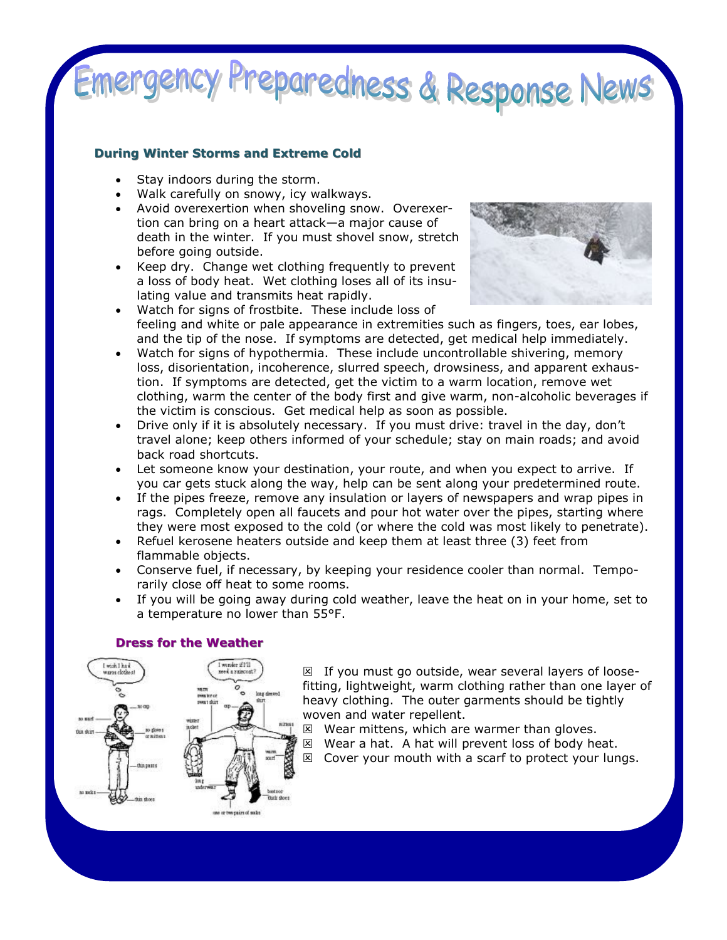# nergency Preparedness & Response News

# **During Winter Storms and Extreme Cold**

- Stay indoors during the storm.
- Walk carefully on snowy, icy walkways.
- Avoid overexertion when shoveling snow. Overexertion can bring on a heart attack—a major cause of death in the winter. If you must shovel snow, stretch before going outside.
- Keep dry. Change wet clothing frequently to prevent a loss of body heat. Wet clothing loses all of its insulating value and transmits heat rapidly.



- Watch for signs of frostbite. These include loss of feeling and white or pale appearance in extremities such as fingers, toes, ear lobes, and the tip of the nose. If symptoms are detected, get medical help immediately.
- Watch for signs of hypothermia. These include uncontrollable shivering, memory loss, disorientation, incoherence, slurred speech, drowsiness, and apparent exhaustion. If symptoms are detected, get the victim to a warm location, remove wet clothing, warm the center of the body first and give warm, non-alcoholic beverages if the victim is conscious. Get medical help as soon as possible.
- Drive only if it is absolutely necessary. If you must drive: travel in the day, don't travel alone; keep others informed of your schedule; stay on main roads; and avoid back road shortcuts.
- Let someone know your destination, your route, and when you expect to arrive. If you car gets stuck along the way, help can be sent along your predetermined route.
- If the pipes freeze, remove any insulation or layers of newspapers and wrap pipes in rags. Completely open all faucets and pour hot water over the pipes, starting where they were most exposed to the cold (or where the cold was most likely to penetrate).
- Refuel kerosene heaters outside and keep them at least three (3) feet from flammable objects.
- Conserve fuel, if necessary, by keeping your residence cooler than normal. Temporarily close off heat to some rooms.
- If you will be going away during cold weather, leave the heat on in your home, set to a temperature no lower than 55°F.

# **Dress for the Weather**



 $\boxtimes$  If you must go outside, wear several layers of loosefitting, lightweight, warm clothing rather than one layer of heavy clothing. The outer garments should be tightly woven and water repellent.

- $\boxtimes$  Wear mittens, which are warmer than gloves.
- $\boxtimes$  Wear a hat. A hat will prevent loss of body heat.
- $\boxtimes$  Cover your mouth with a scarf to protect your lungs.